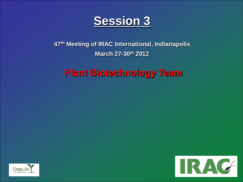

## **47th Meeting of IRAC International, Indianapolis March 27-30th 2012**

## **Plant Biotechnology Team**



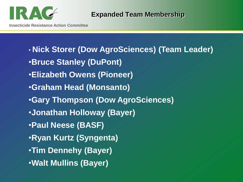

• **Nick Storer (Dow AgroSciences) (Team Leader)** •**Bruce Stanley (DuPont)** •**Elizabeth Owens (Pioneer)** •**Graham Head (Monsanto)** •**Gary Thompson (Dow AgroSciences)** •**Jonathan Holloway (Bayer)** •**Paul Neese (BASF)** •**Ryan Kurtz (Syngenta)** •**Tim Dennehy (Bayer)** •**Walt Mullins (Bayer)**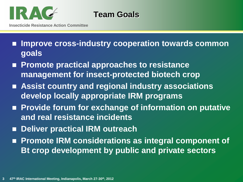

**Team Goals**

- **Improve cross-industry cooperation towards common goals**
- Promote practical approaches to resistance **management for insect-protected biotech crop**
- **Assist country and regional industry associations develop locally appropriate IRM programs**
- Provide forum for exchange of information on putative **and real resistance incidents**
- **Deliver practical IRM outreach**
- Promote IRM considerations as integral component of **Bt crop development by public and private sectors**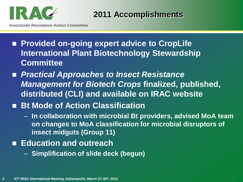

**2011 Accomplishments**

- Provided on-going expert advice to CropLife **International Plant Biotechnology Stewardship Committee**
- *Practical Approaches to Insect Resistance Management for Biotech Crops* **finalized, published, distributed (CLI) and available on IRAC website**
- **Bt Mode of Action Classification** 
	- **In collaboration with microbial Bt providers, advised MoA team on changes to MoA classification for microbial disruptors of insect midguts (Group 11)**
- Education and outreach
	- **Simplification of slide deck (begun)**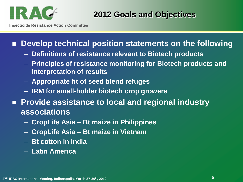

**2012 Goals and Objectives**

**Insecticide Resistance Action Committee**

## **Develop technical position statements on the following**

- **Definitions of resistance relevant to Biotech products**
- **Principles of resistance monitoring for Biotech products and interpretation of results**
- **Appropriate fit of seed blend refuges**
- **IRM for small-holder biotech crop growers**
- Provide assistance to local and regional industry **associations**
	- **CropLife Asia – Bt maize in Philippines**
	- **CropLife Asia – Bt maize in Vietnam**
	- **Bt cotton in India**
	- **Latin America**